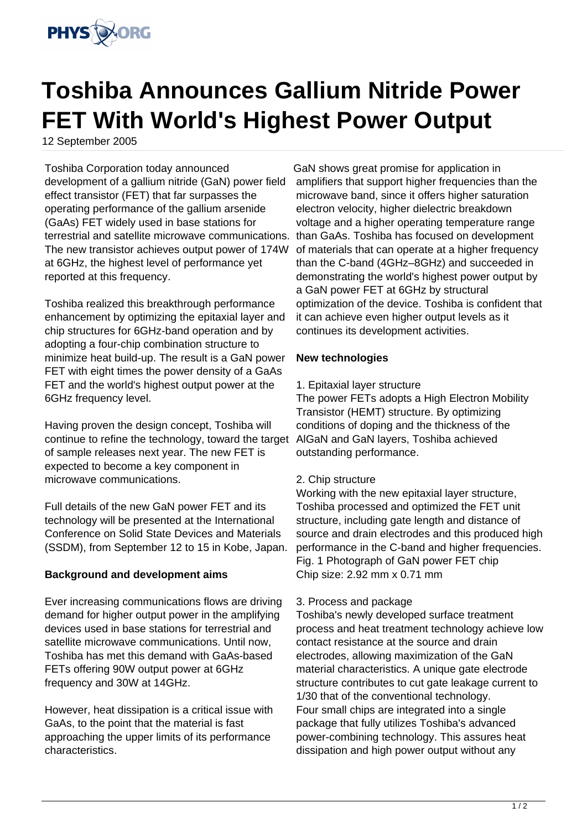

# **Toshiba Announces Gallium Nitride Power FET With World's Highest Power Output**

12 September 2005

Toshiba Corporation today announced development of a gallium nitride (GaN) power field effect transistor (FET) that far surpasses the operating performance of the gallium arsenide (GaAs) FET widely used in base stations for terrestrial and satellite microwave communications. The new transistor achieves output power of 174W at 6GHz, the highest level of performance yet reported at this frequency.

Toshiba realized this breakthrough performance enhancement by optimizing the epitaxial layer and chip structures for 6GHz-band operation and by adopting a four-chip combination structure to minimize heat build-up. The result is a GaN power FET with eight times the power density of a GaAs FET and the world's highest output power at the 6GHz frequency level.

Having proven the design concept, Toshiba will continue to refine the technology, toward the target of sample releases next year. The new FET is expected to become a key component in microwave communications.

Full details of the new GaN power FET and its technology will be presented at the International Conference on Solid State Devices and Materials (SSDM), from September 12 to 15 in Kobe, Japan.

# **Background and development aims**

Ever increasing communications flows are driving demand for higher output power in the amplifying devices used in base stations for terrestrial and satellite microwave communications. Until now, Toshiba has met this demand with GaAs-based FETs offering 90W output power at 6GHz frequency and 30W at 14GHz.

However, heat dissipation is a critical issue with GaAs, to the point that the material is fast approaching the upper limits of its performance characteristics.

GaN shows great promise for application in amplifiers that support higher frequencies than the microwave band, since it offers higher saturation electron velocity, higher dielectric breakdown voltage and a higher operating temperature range than GaAs. Toshiba has focused on development of materials that can operate at a higher frequency than the C-band (4GHz–8GHz) and succeeded in demonstrating the world's highest power output by a GaN power FET at 6GHz by structural optimization of the device. Toshiba is confident that it can achieve even higher output levels as it continues its development activities.

# **New technologies**

1. Epitaxial layer structure

The power FETs adopts a High Electron Mobility Transistor (HEMT) structure. By optimizing conditions of doping and the thickness of the AlGaN and GaN layers, Toshiba achieved outstanding performance.

### 2. Chip structure

Working with the new epitaxial layer structure, Toshiba processed and optimized the FET unit structure, including gate length and distance of source and drain electrodes and this produced high performance in the C-band and higher frequencies. Fig. 1 Photograph of GaN power FET chip Chip size: 2.92 mm x 0.71 mm

### 3. Process and package

Toshiba's newly developed surface treatment process and heat treatment technology achieve low contact resistance at the source and drain electrodes, allowing maximization of the GaN material characteristics. A unique gate electrode structure contributes to cut gate leakage current to 1/30 that of the conventional technology. Four small chips are integrated into a single package that fully utilizes Toshiba's advanced power-combining technology. This assures heat dissipation and high power output without any